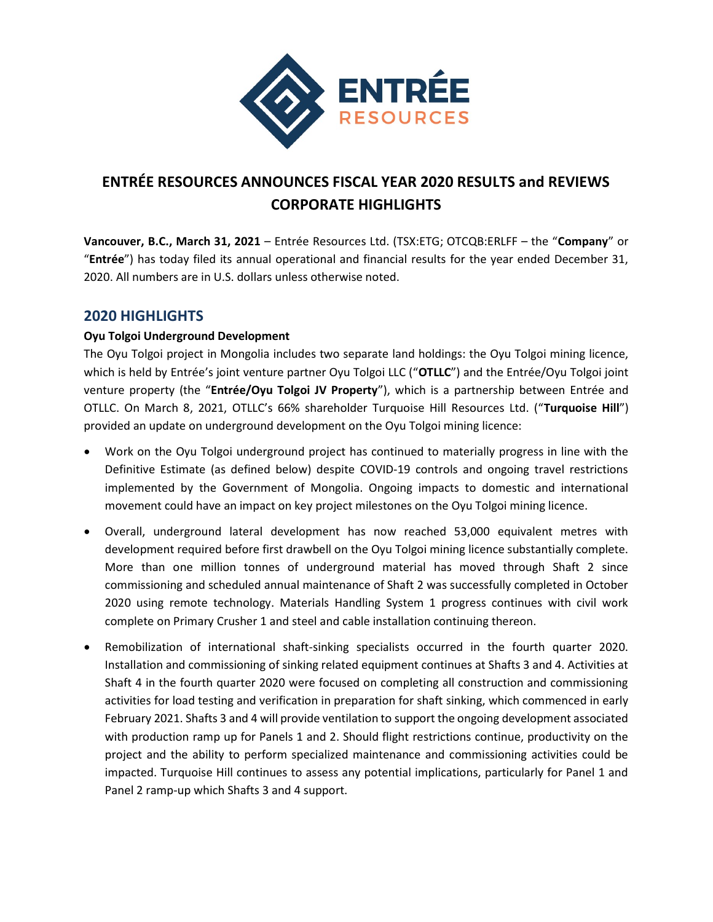

# ENTRÉE RESOURCES ANNOUNCES FISCAL YEAR 2020 RESULTS and REVIEWS CORPORATE HIGHLIGHTS

Vancouver, B.C., March 31, 2021 – Entrée Resources Ltd. (TSX:ETG; OTCQB:ERLFF – the "Company" or "Entrée") has today filed its annual operational and financial results for the year ended December 31, 2020. All numbers are in U.S. dollars unless otherwise noted.

# 2020 HIGHLIGHTS

## Oyu Tolgoi Underground Development

The Oyu Tolgoi project in Mongolia includes two separate land holdings: the Oyu Tolgoi mining licence, which is held by Entrée's joint venture partner Oyu Tolgoi LLC ("OTLLC") and the Entrée/Oyu Tolgoi joint venture property (the "Entrée/Oyu Tolgoi JV Property"), which is a partnership between Entrée and OTLLC. On March 8, 2021, OTLLC's 66% shareholder Turquoise Hill Resources Ltd. ("Turquoise Hill") provided an update on underground development on the Oyu Tolgoi mining licence:

- Work on the Oyu Tolgoi underground project has continued to materially progress in line with the Definitive Estimate (as defined below) despite COVID-19 controls and ongoing travel restrictions implemented by the Government of Mongolia. Ongoing impacts to domestic and international movement could have an impact on key project milestones on the Oyu Tolgoi mining licence.
- Overall, underground lateral development has now reached 53,000 equivalent metres with development required before first drawbell on the Oyu Tolgoi mining licence substantially complete. More than one million tonnes of underground material has moved through Shaft 2 since commissioning and scheduled annual maintenance of Shaft 2 was successfully completed in October 2020 using remote technology. Materials Handling System 1 progress continues with civil work complete on Primary Crusher 1 and steel and cable installation continuing thereon.
- Remobilization of international shaft-sinking specialists occurred in the fourth quarter 2020. Installation and commissioning of sinking related equipment continues at Shafts 3 and 4. Activities at Shaft 4 in the fourth quarter 2020 were focused on completing all construction and commissioning activities for load testing and verification in preparation for shaft sinking, which commenced in early February 2021. Shafts 3 and 4 will provide ventilation to support the ongoing development associated with production ramp up for Panels 1 and 2. Should flight restrictions continue, productivity on the project and the ability to perform specialized maintenance and commissioning activities could be impacted. Turquoise Hill continues to assess any potential implications, particularly for Panel 1 and Panel 2 ramp-up which Shafts 3 and 4 support.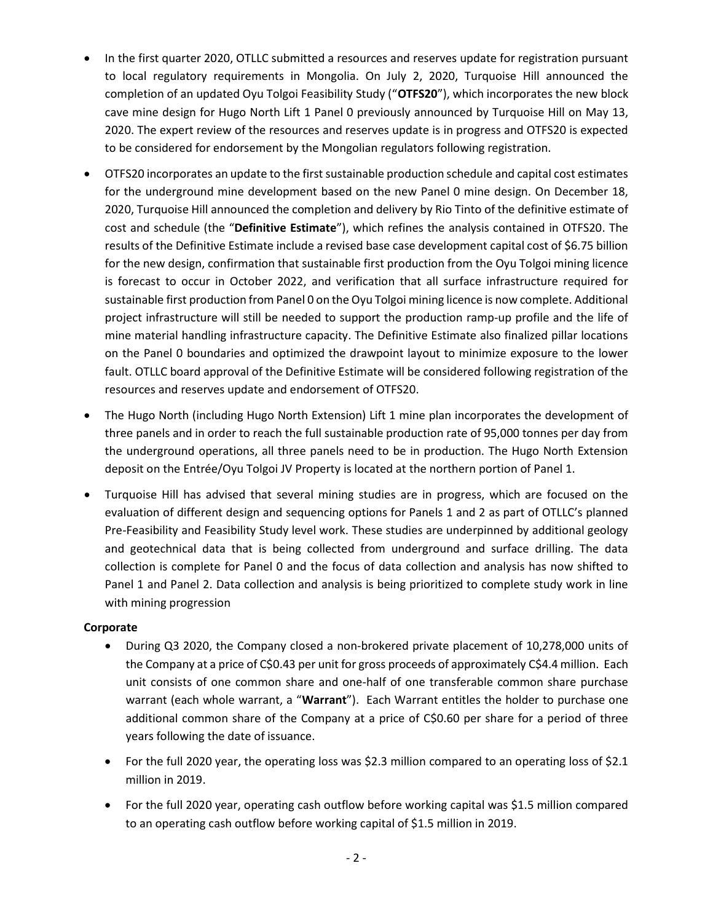- In the first quarter 2020, OTLLC submitted a resources and reserves update for registration pursuant to local regulatory requirements in Mongolia. On July 2, 2020, Turquoise Hill announced the completion of an updated Oyu Tolgoi Feasibility Study ("OTFS20"), which incorporates the new block cave mine design for Hugo North Lift 1 Panel 0 previously announced by Turquoise Hill on May 13, 2020. The expert review of the resources and reserves update is in progress and OTFS20 is expected to be considered for endorsement by the Mongolian regulators following registration.
- OTFS20 incorporates an update to the first sustainable production schedule and capital cost estimates for the underground mine development based on the new Panel 0 mine design. On December 18, 2020, Turquoise Hill announced the completion and delivery by Rio Tinto of the definitive estimate of cost and schedule (the "Definitive Estimate"), which refines the analysis contained in OTFS20. The results of the Definitive Estimate include a revised base case development capital cost of \$6.75 billion for the new design, confirmation that sustainable first production from the Oyu Tolgoi mining licence is forecast to occur in October 2022, and verification that all surface infrastructure required for sustainable first production from Panel 0 on the Oyu Tolgoi mining licence is now complete. Additional project infrastructure will still be needed to support the production ramp-up profile and the life of mine material handling infrastructure capacity. The Definitive Estimate also finalized pillar locations on the Panel 0 boundaries and optimized the drawpoint layout to minimize exposure to the lower fault. OTLLC board approval of the Definitive Estimate will be considered following registration of the resources and reserves update and endorsement of OTFS20.
- The Hugo North (including Hugo North Extension) Lift 1 mine plan incorporates the development of three panels and in order to reach the full sustainable production rate of 95,000 tonnes per day from the underground operations, all three panels need to be in production. The Hugo North Extension deposit on the Entrée/Oyu Tolgoi JV Property is located at the northern portion of Panel 1.
- Turquoise Hill has advised that several mining studies are in progress, which are focused on the evaluation of different design and sequencing options for Panels 1 and 2 as part of OTLLC's planned Pre-Feasibility and Feasibility Study level work. These studies are underpinned by additional geology and geotechnical data that is being collected from underground and surface drilling. The data collection is complete for Panel 0 and the focus of data collection and analysis has now shifted to Panel 1 and Panel 2. Data collection and analysis is being prioritized to complete study work in line with mining progression

## Corporate

- During Q3 2020, the Company closed a non-brokered private placement of 10,278,000 units of the Company at a price of C\$0.43 per unit for gross proceeds of approximately C\$4.4 million. Each unit consists of one common share and one-half of one transferable common share purchase warrant (each whole warrant, a "Warrant"). Each Warrant entitles the holder to purchase one additional common share of the Company at a price of C\$0.60 per share for a period of three years following the date of issuance.
- For the full 2020 year, the operating loss was \$2.3 million compared to an operating loss of \$2.1 million in 2019.
- For the full 2020 year, operating cash outflow before working capital was \$1.5 million compared to an operating cash outflow before working capital of \$1.5 million in 2019.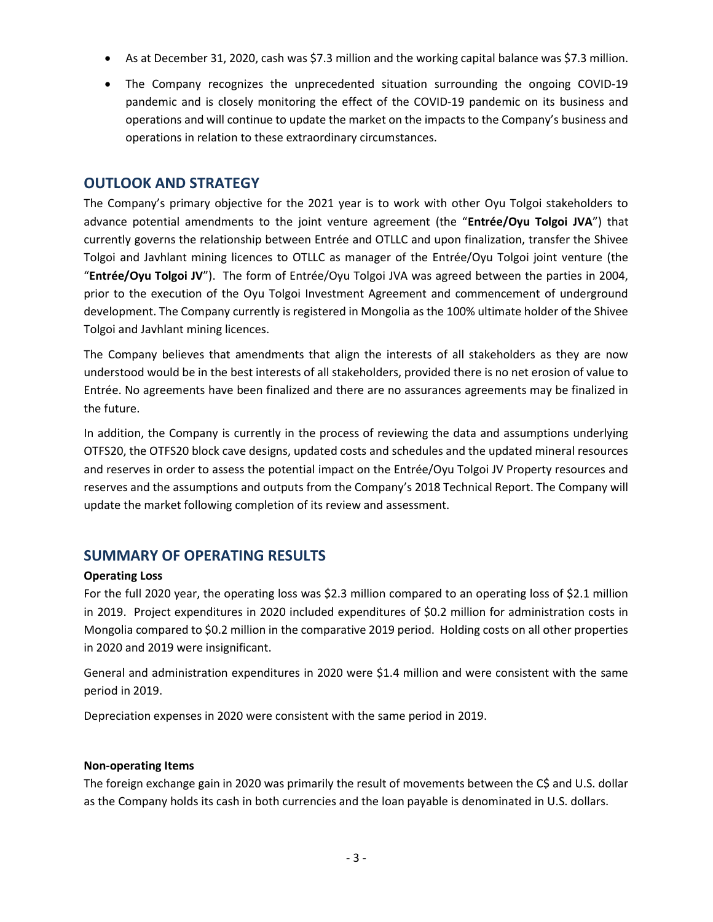- As at December 31, 2020, cash was \$7.3 million and the working capital balance was \$7.3 million.
- The Company recognizes the unprecedented situation surrounding the ongoing COVID-19 pandemic and is closely monitoring the effect of the COVID-19 pandemic on its business and operations and will continue to update the market on the impacts to the Company's business and operations in relation to these extraordinary circumstances.

# OUTLOOK AND STRATEGY

The Company's primary objective for the 2021 year is to work with other Oyu Tolgoi stakeholders to advance potential amendments to the joint venture agreement (the "Entrée/Oyu Tolgoi JVA") that currently governs the relationship between Entrée and OTLLC and upon finalization, transfer the Shivee Tolgoi and Javhlant mining licences to OTLLC as manager of the Entrée/Oyu Tolgoi joint venture (the "Entrée/Oyu Tolgoi JV"). The form of Entrée/Oyu Tolgoi JVA was agreed between the parties in 2004, prior to the execution of the Oyu Tolgoi Investment Agreement and commencement of underground development. The Company currently is registered in Mongolia as the 100% ultimate holder of the Shivee Tolgoi and Javhlant mining licences.

The Company believes that amendments that align the interests of all stakeholders as they are now understood would be in the best interests of all stakeholders, provided there is no net erosion of value to Entrée. No agreements have been finalized and there are no assurances agreements may be finalized in the future.

In addition, the Company is currently in the process of reviewing the data and assumptions underlying OTFS20, the OTFS20 block cave designs, updated costs and schedules and the updated mineral resources and reserves in order to assess the potential impact on the Entrée/Oyu Tolgoi JV Property resources and reserves and the assumptions and outputs from the Company's 2018 Technical Report. The Company will update the market following completion of its review and assessment.

# SUMMARY OF OPERATING RESULTS

## Operating Loss

For the full 2020 year, the operating loss was \$2.3 million compared to an operating loss of \$2.1 million in 2019. Project expenditures in 2020 included expenditures of \$0.2 million for administration costs in Mongolia compared to \$0.2 million in the comparative 2019 period. Holding costs on all other properties in 2020 and 2019 were insignificant.

General and administration expenditures in 2020 were \$1.4 million and were consistent with the same period in 2019.

Depreciation expenses in 2020 were consistent with the same period in 2019.

#### Non-operating Items

The foreign exchange gain in 2020 was primarily the result of movements between the C\$ and U.S. dollar as the Company holds its cash in both currencies and the loan payable is denominated in U.S. dollars.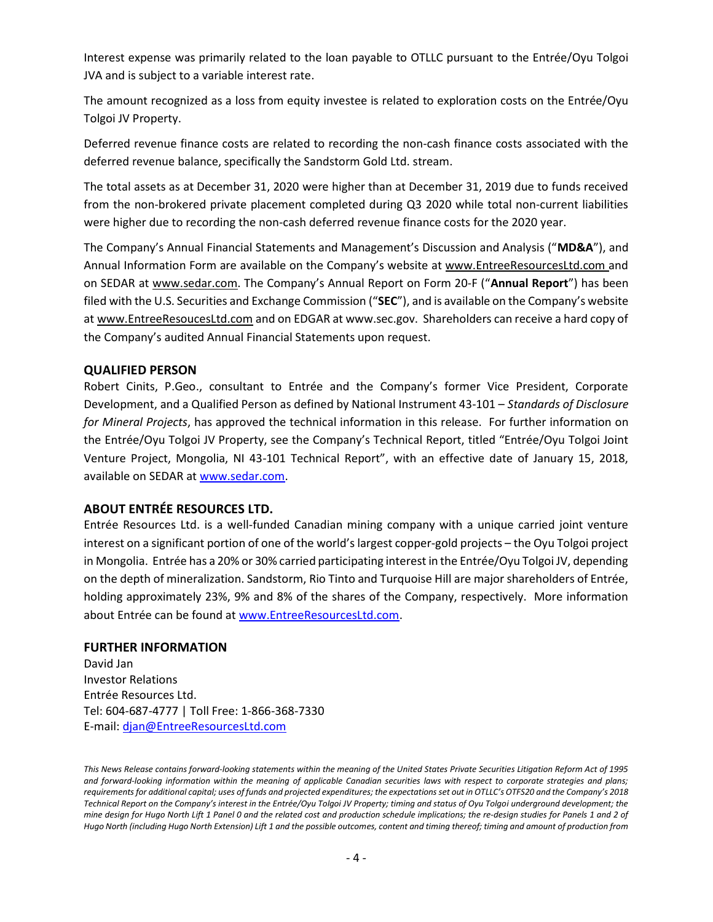Interest expense was primarily related to the loan payable to OTLLC pursuant to the Entrée/Oyu Tolgoi JVA and is subject to a variable interest rate.

The amount recognized as a loss from equity investee is related to exploration costs on the Entrée/Oyu Tolgoi JV Property.

Deferred revenue finance costs are related to recording the non-cash finance costs associated with the deferred revenue balance, specifically the Sandstorm Gold Ltd. stream.

The total assets as at December 31, 2020 were higher than at December 31, 2019 due to funds received from the non-brokered private placement completed during Q3 2020 while total non-current liabilities were higher due to recording the non-cash deferred revenue finance costs for the 2020 year.

The Company's Annual Financial Statements and Management's Discussion and Analysis ("MD&A"), and Annual Information Form are available on the Company's website at www.EntreeResourcesLtd.com and on SEDAR at www.sedar.com. The Company's Annual Report on Form 20-F ("Annual Report") has been filed with the U.S. Securities and Exchange Commission ("SEC"), and is available on the Company's website at www.EntreeResoucesLtd.com and on EDGAR at www.sec.gov. Shareholders can receive a hard copy of the Company's audited Annual Financial Statements upon request.

#### QUALIFIED PERSON

Robert Cinits, P.Geo., consultant to Entrée and the Company's former Vice President, Corporate Development, and a Qualified Person as defined by National Instrument 43-101 – Standards of Disclosure for Mineral Projects, has approved the technical information in this release. For further information on the Entrée/Oyu Tolgoi JV Property, see the Company's Technical Report, titled "Entrée/Oyu Tolgoi Joint Venture Project, Mongolia, NI 43-101 Technical Report", with an effective date of January 15, 2018, available on SEDAR at www.sedar.com.

#### ABOUT ENTRÉE RESOURCES LTD.

Entrée Resources Ltd. is a well-funded Canadian mining company with a unique carried joint venture interest on a significant portion of one of the world's largest copper-gold projects – the Oyu Tolgoi project in Mongolia. Entrée has a 20% or 30% carried participating interest in the Entrée/Oyu Tolgoi JV, depending on the depth of mineralization. Sandstorm, Rio Tinto and Turquoise Hill are major shareholders of Entrée, holding approximately 23%, 9% and 8% of the shares of the Company, respectively. More information about Entrée can be found at www.EntreeResourcesLtd.com.

#### FURTHER INFORMATION

David Jan Investor Relations Entrée Resources Ltd. Tel: 604-687-4777 | Toll Free: 1-866-368-7330 E-mail: djan@EntreeResourcesLtd.com

This News Release contains forward-looking statements within the meaning of the United States Private Securities Litigation Reform Act of 1995 and forward-looking information within the meaning of applicable Canadian securities laws with respect to corporate strategies and plans; requirements for additional capital; uses of funds and projected expenditures; the expectations set out in OTLLC's OTFS20 and the Company's 2018 Technical Report on the Company's interest in the Entrée/Oyu Tolgoi JV Property; timing and status of Oyu Tolgoi underground development; the mine design for Hugo North Lift 1 Panel 0 and the related cost and production schedule implications; the re-design studies for Panels 1 and 2 of Hugo North (including Hugo North Extension) Lift 1 and the possible outcomes, content and timing thereof; timing and amount of production from